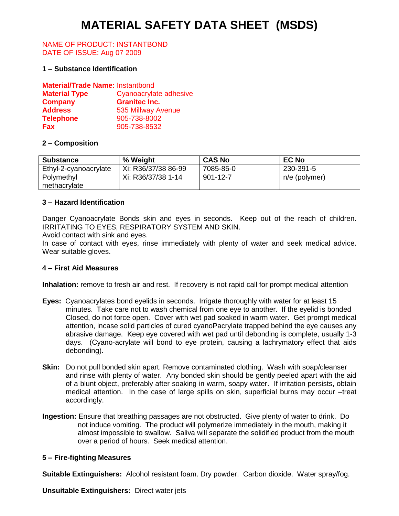# **MATERIAL SAFETY DATA SHEET (MSDS)**

#### NAME OF PRODUCT: INSTANTBOND DATE OF ISSUE: Aug 07 2009

#### **1 – Substance Identification**

| <b>Material/Trade Name: Instantbond</b> |                        |
|-----------------------------------------|------------------------|
| <b>Material Type</b>                    | Cyanoacrylate adhesive |
| <b>Company</b>                          | <b>Granitec Inc.</b>   |
| <b>Address</b>                          | 535 Millway Avenue     |
| <b>Telephone</b>                        | 905-738-8002           |
| <b>Fax</b>                              | 905-738-8532           |

## **2 – Composition**

| <b>Substance</b>      | % Weight            | <b>CAS No</b>  | <b>EC No</b>  |
|-----------------------|---------------------|----------------|---------------|
| Ethyl-2-cyanoacrylate | Xi: R36/37/38 86-99 | 7085-85-0      | 230-391-5     |
| Polymethyl            | Xi: R36/37/38 1-14  | $901 - 12 - 7$ | n/e (polymer) |
| methacrylate          |                     |                |               |

## **3 – Hazard Identification**

Danger Cyanoacrylate Bonds skin and eyes in seconds. Keep out of the reach of children. IRRITATING TO EYES, RESPIRATORY SYSTEM AND SKIN.

Avoid contact with sink and eyes.

In case of contact with eyes, rinse immediately with plenty of water and seek medical advice. Wear suitable gloves.

#### **4 – First Aid Measures**

**Inhalation:** remove to fresh air and rest. If recovery is not rapid call for prompt medical attention

- **Eyes:** Cyanoacrylates bond eyelids in seconds. Irrigate thoroughly with water for at least 15 minutes. Take care not to wash chemical from one eye to another. If the eyelid is bonded Closed, do not force open. Cover with wet pad soaked in warm water. Get prompt medical attention, incase solid particles of cured cyanoPacrylate trapped behind the eye causes any abrasive damage. Keep eye covered with wet pad until debonding is complete, usually 1-3 days. (Cyano-acrylate will bond to eye protein, causing a lachrymatory effect that aids debonding).
- **Skin:** Do not pull bonded skin apart. Remove contaminated clothing. Wash with soap/cleanser and rinse with plenty of water. Any bonded skin should be gently peeled apart with the aid of a blunt object, preferably after soaking in warm, soapy water. If irritation persists, obtain medical attention. In the case of large spills on skin, superficial burns may occur –treat accordingly.
- **Ingestion:** Ensure that breathing passages are not obstructed. Give plenty of water to drink. Do not induce vomiting. The product will polymerize immediately in the mouth, making it almost impossible to swallow. Saliva will separate the solidified product from the mouth over a period of hours. Seek medical attention.

#### **5 – Fire-fighting Measures**

**Suitable Extinguishers:** Alcohol resistant foam. Dry powder. Carbon dioxide. Water spray/fog.

**Unsuitable Extinguishers:** Direct water jets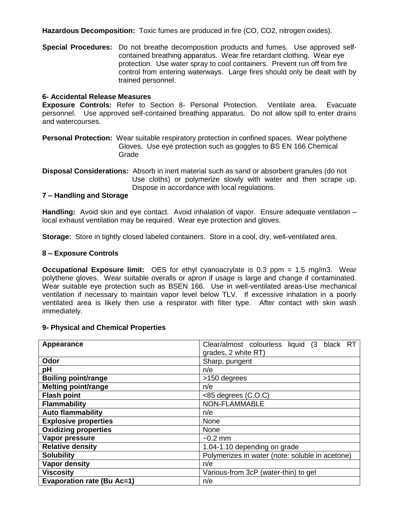**Hazardous Decomposition:** Toxic fumes are produced in fire (CO, CO2, nitrogen oxides).

**Special Procedures:** Do not breathe decomposition products and fumes. Use approved self contained breathing apparatus. Wear fire retardant clothing. Wear eye protection. Use water spray to cool containers. Prevent run off from fire control from entering waterways. Large fires should only be dealt with by trained personnel.

#### **6- Accidental Release Measures**

**Exposure Controls:** Refer to Section 8- Personal Protection. Ventilate area. Evacuate personnel. Use approved self-contained breathing apparatus. Do not allow spill to enter drains and watercourses.

**Personal Protection:** Wear suitable respiratory protection in confined spaces. Wear polythene Gloves. Use eye protection such as goggles to BS EN 166 Chemical Grade

**Disposal Considerations:** Absorb in inert material such as sand or absorbent granules (do not Use cloths) or polymerize slowly with water and then scrape up. Dispose in accordance with local regulations.

## **7 – Handling and Storage**

**Handling:** Avoid skin and eye contact. Avoid inhalation of vapor. Ensure adequate ventilation – local exhaust ventilation may be required. Wear eye protection and gloves.

**Storage:** Store in tightly closed labeled containers. Store in a cool, dry, well-ventilated area.

#### **8 – Exposure Controls**

**Occupational Exposure limit:** OES for ethyl cyanoacrylate is 0.3 ppm = 1.5 mg/m3. Wear polythene gloves. Wear suitable overalls or apron if usage is large and change if contaminated. Wear suitable eye protection such as BSEN 166. Use in well-ventilated areas-Use mechanical ventilation if necessary to maintain vapor level below TLV. If excessive inhalation in a poorly ventilated area is likely then use a respirator with filter type. After contact with skin wash immediately.

#### **9- Physical and Chemical Properties**

| Appearance                        | Clear/almost colourless liquid (3 black RT      |  |  |  |
|-----------------------------------|-------------------------------------------------|--|--|--|
|                                   | grades, 2 white RT)                             |  |  |  |
| Odor                              | Sharp, pungent                                  |  |  |  |
| pH                                | n/e                                             |  |  |  |
| <b>Boiling point/range</b>        | >150 degrees                                    |  |  |  |
| <b>Melting point/range</b>        | n/e                                             |  |  |  |
| <b>Flash point</b>                | $<85$ degrees $(C.O.C)$                         |  |  |  |
| <b>Flammability</b>               | NON-FLAMMABLE                                   |  |  |  |
| <b>Auto flammability</b>          | n/e                                             |  |  |  |
| <b>Explosive properties</b>       | None                                            |  |  |  |
| <b>Oxidizing properties</b>       | None                                            |  |  |  |
| Vapor pressure                    | $\sim$ 0.2 mm                                   |  |  |  |
| <b>Relative density</b>           | 1.04-1.10 depending on grade                    |  |  |  |
| <b>Solubility</b>                 | Polymerizes in water (note: soluble in acetone) |  |  |  |
| <b>Vapor density</b>              | n/e                                             |  |  |  |
| <b>Viscosity</b>                  | Various-from 3cP (water-thin) to gel            |  |  |  |
| <b>Evaporation rate (Bu Ac=1)</b> | n/e                                             |  |  |  |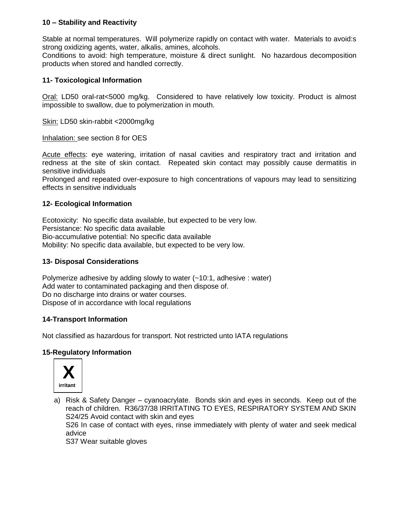## **10 – Stability and Reactivity**

Stable at normal temperatures. Will polymerize rapidly on contact with water. Materials to avoid:s strong oxidizing agents, water, alkalis, amines, alcohols.

Conditions to avoid: high temperature, moisture & direct sunlight. No hazardous decomposition products when stored and handled correctly.

## **11- Toxicological Information**

Oral: LD50 oral-rat<5000 mg/kg. Considered to have relatively low toxicity. Product is almost impossible to swallow, due to polymerization in mouth.

Skin: LD50 skin-rabbit <2000mg/kg

Inhalation: see section 8 for OES

Acute effects: eye watering, irritation of nasal cavities and respiratory tract and irritation and redness at the site of skin contact. Repeated skin contact may possibly cause dermatitis in sensitive individuals

Prolonged and repeated over-exposure to high concentrations of vapours may lead to sensitizing effects in sensitive individuals

## **12- Ecological Information**

Ecotoxicity: No specific data available, but expected to be very low. Persistance: No specific data available Bio-accumulative potential: No specific data available Mobility: No specific data available, but expected to be very low.

## **13- Disposal Considerations**

Polymerize adhesive by adding slowly to water  $(-10:1, 1)$  adhesive : water) Add water to contaminated packaging and then dispose of. Do no discharge into drains or water courses. Dispose of in accordance with local regulations

## **14-Transport Information**

Not classified as hazardous for transport. Not restricted unto IATA regulations

## **15-Regulatory Information**



a) Risk & Safety Danger – cyanoacrylate. Bonds skin and eyes in seconds. Keep out of the reach of children. R36/37/38 IRRITATING TO EYES, RESPIRATORY SYSTEM AND SKIN S24/25 Avoid contact with skin and eyes

S26 In case of contact with eyes, rinse immediately with plenty of water and seek medical advice

S37 Wear suitable gloves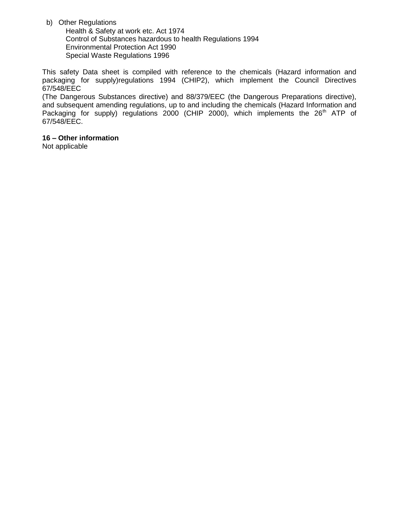b) Other Regulations

Health & Safety at work etc. Act 1974 Control of Substances hazardous to health Regulations 1994 Environmental Protection Act 1990 Special Waste Regulations 1996

This safety Data sheet is compiled with reference to the chemicals (Hazard information and packaging for supply)regulations 1994 (CHIP2), which implement the Council Directives 67/548/EEC

(The Dangerous Substances directive) and 88/379/EEC (the Dangerous Preparations directive), and subsequent amending regulations, up to and including the chemicals (Hazard Information and Packaging for supply) regulations 2000 (CHIP 2000), which implements the 26<sup>th</sup> ATP of 67/548/EEC.

## **16 – Other information**

Not applicable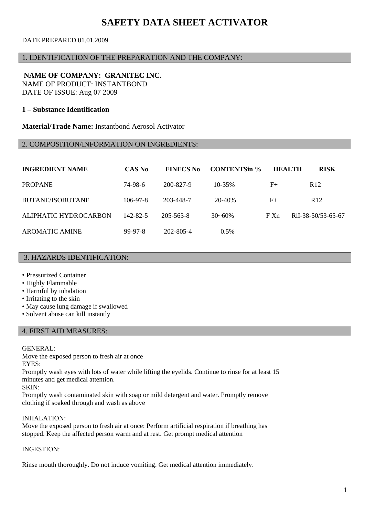## **SAFETY DATA SHEET ACTIVATOR**

## DATE PREPARED 01.01.2009

## 1. IDENTIFICATION OF THE PREPARATION AND THE COMPANY:

#### **NAME OF COMPANY: GRANITEC INC.**  NAME OF PRODUCT: INSTANTBOND

DATE OF ISSUE: Aug 07 2009

## **1 – Substance Identification**

**Material/Trade Name:** Instantbond Aerosol Activator

## 2. COMPOSITION/INFORMATION ON INGREDIENTS:

| <b>INGREDIENT NAME</b> | CAS No     | EINECS No | <b>CONTENTSin %</b> | <b>HEALTH</b> | <b>RISK</b>        |
|------------------------|------------|-----------|---------------------|---------------|--------------------|
| <b>PROPANE</b>         | 74-98-6    | 200-827-9 | $10 - 35\%$         | $F+$          | R <sub>12</sub>    |
| BUTANE/ISOBUTANE       | $106-97-8$ | 203-448-7 | 20-40%              | $F_{+}$       | R <sub>12</sub>    |
| ALIPHATIC HYDROCARBON  | 142-82-5   | 205-563-8 | $30 - 60%$          | FXn           | RII-38-50/53-65-67 |
| <b>AROMATIC AMINE</b>  | 99-97-8    | 202-805-4 | $0.5\%$             |               |                    |

#### 3. HAZARDS IDENTIFICATION:

- Pressurized Container
- Highly Flammable
- Harmful by inhalation
- Irritating to the skin
- May cause lung damage if swallowed
- Solvent abuse can kill instantly

#### 4. FIRST AID MEASURES:

## GENERAL:

Move the exposed person to fresh air at once EYES:

Promptly wash eyes with lots of water while lifting the eyelids. Continue to rinse for at least 15 minutes and get medical attention.

SKIN:

Promptly wash contaminated skin with soap or mild detergent and water. Promptly remove clothing if soaked through and wash as above

#### INHALATION:

Move the exposed person to fresh air at once: Perform artificial respiration if breathing has stopped. Keep the affected person warm and at rest. Get prompt medical attention

#### INGESTION:

Rinse mouth thoroughly. Do not induce vomiting. Get medical attention immediately.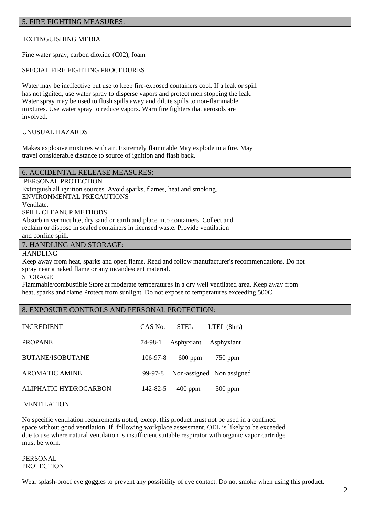#### 5. FIRE FIGHTING MEASURES:

## EXTINGUISHING MEDIA

Fine water spray, carbon dioxide (C02), foam

#### SPECIAL FIRE FIGHTING PROCEDURES

Water may be ineffective but use to keep fire-exposed containers cool. If a leak or spill has not ignited, use water spray to disperse vapors and protect men stopping the leak. Water spray may be used to flush spills away and dilute spills to non-flammable mixtures. Use water spray to reduce vapors. Warn fire fighters that aerosols are involved.

#### UNUSUAL HAZARDS

Makes explosive mixtures with air. Extremely flammable May explode in a fire. May travel considerable distance to source of ignition and flash back.

#### 6. ACCIDENTAL RELEASE MEASURES:

PERSONAL PROTECTION Extinguish all ignition sources. Avoid sparks, flames, heat and smoking. ENVIRONMENTAL PRECAUTIONS Ventilate. SPILL CLEANUP METHODS Absorb in vermiculite, dry sand or earth and place into containers. Collect and reclaim or dispose in sealed containers in licensed waste. Provide ventilation and confine spill.

#### 7. HANDLING AND STORAGE:

HANDLING

Keep away from heat, sparks and open flame. Read and follow manufacturer's recommendations. Do not spray near a naked flame or any incandescent material. STORAGE

Flammable/combustible Store at moderate temperatures in a dry well ventilated area. Keep away from heat, sparks and flame Protect from sunlight. Do not expose to temperatures exceeding 500C

#### 8. EXPOSURE CONTROLS AND PERSONAL PROTECTION:

| <b>INGREDIENT</b>       | CAS No.    | STEL                          | $LTEL$ (8hrs)             |
|-------------------------|------------|-------------------------------|---------------------------|
| <b>PROPANE</b>          |            | 74-98-1 Asphyxiant Asphyxiant |                           |
| <b>BUTANE/ISOBUTANE</b> | $106-97-8$ | $600$ ppm                     | $750$ ppm                 |
| <b>AROMATIC AMINE</b>   | 99-97-8    |                               | Non-assigned Non assigned |
| ALIPHATIC HYDROCARBON   | 142-82-5   | $400$ ppm                     | $500$ ppm                 |

#### VENTILATION

No specific ventilation requirements noted, except this product must not be used in a confined space without good ventilation. If, following workplace assessment, OEL is likely to be exceeded due to use where natural ventilation is insufficient suitable respirator with organic vapor cartridge must be worn.

#### PERSONAL **PROTECTION**

Wear splash-proof eye goggles to prevent any possibility of eye contact. Do not smoke when using this product.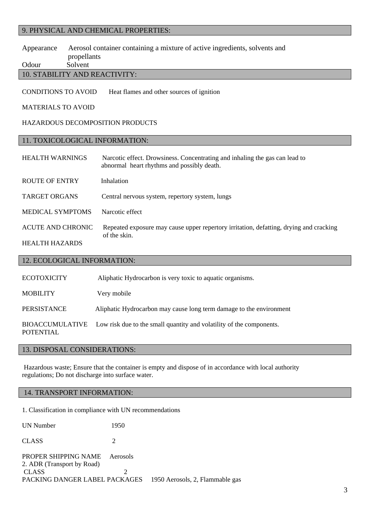## 9. PHYSICAL AND CHEMICAL PROPERTIES:

## Appearance Aerosol container containing a mixture of active ingredients, solvents and propellants

Odour Solvent

## 10. STABILITY AND REACTIVITY:

CONDITlONS TO AVOID Heat flames and other sources of ignition

#### MATERIALS TO AVOID

#### HAZARDOUS DECOMPOSITION PRODUCTS

## 11. TOXICOLOGICAL INFORMATION:

| <b>HEALTH WARNINGS</b>  | Narcotic effect. Drowsiness. Concentrating and inhaling the gas can lead to<br>abnormal heart rhythms and possibly death. |
|-------------------------|---------------------------------------------------------------------------------------------------------------------------|
| <b>ROUTE OF ENTRY</b>   | Inhalation                                                                                                                |
| <b>TARGET ORGANS</b>    | Central nervous system, repertory system, lungs                                                                           |
| <b>MEDICAL SYMPTOMS</b> | Narcotic effect                                                                                                           |
| ACUTE AND CHRONIC       | Repeated exposure may cause upper repertory irritation, defatting, drying and cracking<br>of the skin.                    |
| <b>HEALTH HAZARDS</b>   |                                                                                                                           |

## 12. ECOLOGICAL INFORMATION:

| <b>ECOTOXICITY</b>                  | Aliphatic Hydrocarbon is very toxic to aquatic organisms.            |
|-------------------------------------|----------------------------------------------------------------------|
| <b>MOBILITY</b>                     | Very mobile                                                          |
| PERSISTANCE                         | Aliphatic Hydrocarbon may cause long term damage to the environment  |
| BIOACCUMULATIVE<br><b>POTENTIAL</b> | Low risk due to the small quantity and volatility of the components. |

## 13. DISPOSAL CONSIDERATIONS:

Hazardous waste; Ensure that the container is empty and dispose of in accordance with local authority regulations; Do not discharge into surface water.

## 14. TRANSPORT INFORMATION:

1. Classification in compliance with UN recommendations

| UN Number                                          | 1950     |                                 |
|----------------------------------------------------|----------|---------------------------------|
| <b>CLASS</b>                                       |          |                                 |
| PROPER SHIPPING NAME<br>2. ADR (Transport by Road) | Aerosols |                                 |
| <b>CLASS</b>                                       |          |                                 |
| PACKING DANGER LABEL PACKAGES                      |          | 1950 Aerosols, 2, Flammable gas |